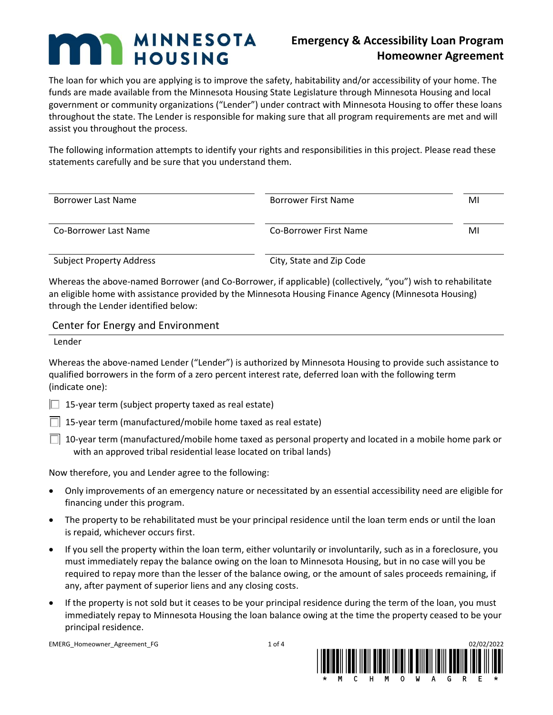# **MINNESOTA HOUSING**

# **Emergency & Accessibility Loan Program Homeowner Agreement**

The loan for which you are applying is to improve the safety, habitability and/or accessibility of your home. The funds are made available from the Minnesota Housing State Legislature through Minnesota Housing and local government or community organizations ("Lender") under contract with Minnesota Housing to offer these loans throughout the state. The Lender is responsible for making sure that all program requirements are met and will assist you throughout the process.

The following information attempts to identify your rights and responsibilities in this project. Please read these statements carefully and be sure that you understand them.

| Borrower Last Name              | Borrower First Name      | MI |
|---------------------------------|--------------------------|----|
| Co-Borrower Last Name           | Co-Borrower First Name   | MI |
| <b>Subject Property Address</b> | City, State and Zip Code |    |

Whereas the above-named Borrower (and Co-Borrower, if applicable) (collectively, "you") wish to rehabilitate an eligible home with assistance provided by the Minnesota Housing Finance Agency (Minnesota Housing) through the Lender identified below:

Center for Energy and Environment

Lender

Whereas the above-named Lender ("Lender") is authorized by Minnesota Housing to provide such assistance to qualified borrowers in the form of a zero percent interest rate, deferred loan with the following term (indicate one):

 $\Box$  15-year term (subject property taxed as real estate)

 $\Box$  15-year term (manufactured/mobile home taxed as real estate)

 $\Box$  10-year term (manufactured/mobile home taxed as personal property and located in a mobile home park or with an approved tribal residential lease located on tribal lands)

Now therefore, you and Lender agree to the following:

- Only improvements of an emergency nature or necessitated by an essential accessibility need are eligible for financing under this program.
- The property to be rehabilitated must be your principal residence until the loan term ends or until the loan is repaid, whichever occurs first.
- If you sell the property within the loan term, either voluntarily or involuntarily, such as in a foreclosure, you must immediately repay the balance owing on the loan to Minnesota Housing, but in no case will you be required to repay more than the lesser of the balance owing, or the amount of sales proceeds remaining, if any, after payment of superior liens and any closing costs.
- If the property is not sold but it ceases to be your principal residence during the term of the loan, you must immediately repay to Minnesota Housing the loan balance owing at the time the property ceased to be your principal residence.

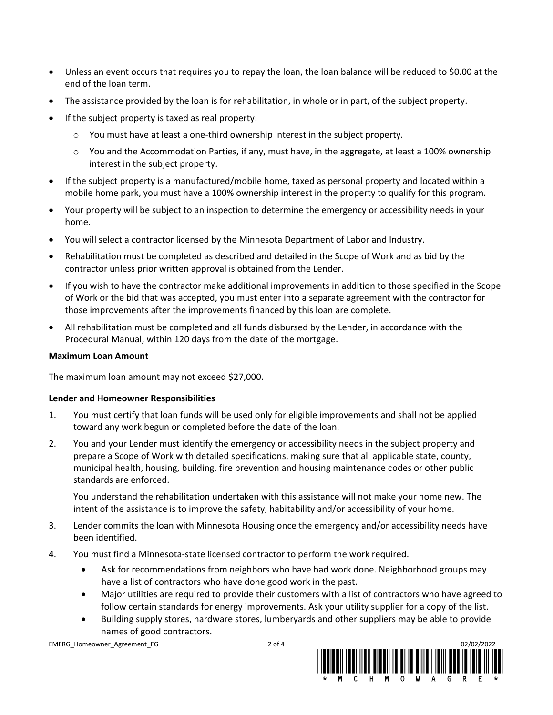- Unless an event occurs that requires you to repay the loan, the loan balance will be reduced to \$0.00 at the end of the loan term.
- The assistance provided by the loan is for rehabilitation, in whole or in part, of the subject property.
- If the subject property is taxed as real property:
	- $\circ$  You must have at least a one-third ownership interest in the subject property.
	- $\circ$  You and the Accommodation Parties, if any, must have, in the aggregate, at least a 100% ownership interest in the subject property.
- If the subject property is a manufactured/mobile home, taxed as personal property and located within a mobile home park, you must have a 100% ownership interest in the property to qualify for this program.
- Your property will be subject to an inspection to determine the emergency or accessibility needs in your home.
- You will select a contractor licensed by the Minnesota Department of Labor and Industry.
- Rehabilitation must be completed as described and detailed in the Scope of Work and as bid by the contractor unless prior written approval is obtained from the Lender.
- If you wish to have the contractor make additional improvements in addition to those specified in the Scope of Work or the bid that was accepted, you must enter into a separate agreement with the contractor for those improvements after the improvements financed by this loan are complete.
- All rehabilitation must be completed and all funds disbursed by the Lender, in accordance with the Procedural Manual, within 120 days from the date of the mortgage.

### **Maximum Loan Amount**

The maximum loan amount may not exceed \$27,000.

## **Lender and Homeowner Responsibilities**

- 1. You must certify that loan funds will be used only for eligible improvements and shall not be applied toward any work begun or completed before the date of the loan.
- 2. You and your Lender must identify the emergency or accessibility needs in the subject property and prepare a Scope of Work with detailed specifications, making sure that all applicable state, county, municipal health, housing, building, fire prevention and housing maintenance codes or other public standards are enforced.

You understand the rehabilitation undertaken with this assistance will not make your home new. The intent of the assistance is to improve the safety, habitability and/or accessibility of your home.

- 3. Lender commits the loan with Minnesota Housing once the emergency and/or accessibility needs have been identified.
- 4. You must find a Minnesota-state licensed contractor to perform the work required.
	- Ask for recommendations from neighbors who have had work done. Neighborhood groups may have a list of contractors who have done good work in the past.
	- Major utilities are required to provide their customers with a list of contractors who have agreed to follow certain standards for energy improvements. Ask your utility supplier for a copy of the list.
	- Building supply stores, hardware stores, lumberyards and other suppliers may be able to provide names of good contractors.

EMERG\_Homeowner\_Agreement\_FG 02002002002002002002002004

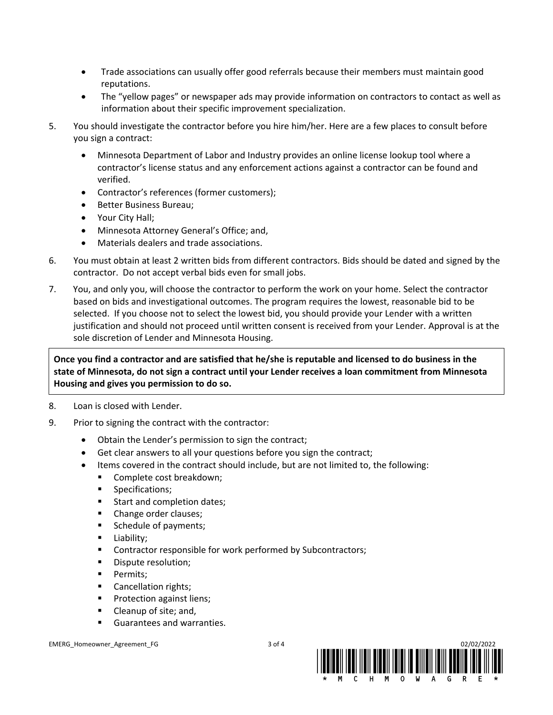- Trade associations can usually offer good referrals because their members must maintain good reputations.
- The "yellow pages" or newspaper ads may provide information on contractors to contact as well as information about their specific improvement specialization.
- 5. You should investigate the contractor before you hire him/her. Here are a few places to consult before you sign a contract:
	- Minnesota Department of Labor and Industry provides an online license lookup tool where a contractor's license status and any enforcement actions against a contractor can be found and verified.
	- Contractor's references (former customers);
	- Better Business Bureau;
	- Your City Hall;
	- Minnesota Attorney General's Office; and,
	- Materials dealers and trade associations.
- 6. You must obtain at least 2 written bids from different contractors. Bids should be dated and signed by the contractor. Do not accept verbal bids even for small jobs.
- 7. You, and only you, will choose the contractor to perform the work on your home. Select the contractor based on bids and investigational outcomes. The program requires the lowest, reasonable bid to be selected. If you choose not to select the lowest bid, you should provide your Lender with a written justification and should not proceed until written consent is received from your Lender. Approval is at the sole discretion of Lender and Minnesota Housing.

**Once you find a contractor and are satisfied that he/she is reputable and licensed to do business in the state of Minnesota, do not sign a contract until your Lender receives a loan commitment from Minnesota Housing and gives you permission to do so.**

- 8. Loan is closed with Lender.
- 9. Prior to signing the contract with the contractor:
	- Obtain the Lender's permission to sign the contract;
	- Get clear answers to all your questions before you sign the contract;
	- Items covered in the contract should include, but are not limited to, the following:
		- Complete cost breakdown;
		- **■** Specifications;
		- Start and completion dates;
		- Change order clauses;
		- Schedule of payments;
		- **■** Liability;
		- Contractor responsible for work performed by Subcontractors;
		- Dispute resolution;
		- **•** Permits:
		- Cancellation rights;
		- Protection against liens;
		- Cleanup of site; and,
		- Guarantees and warranties.